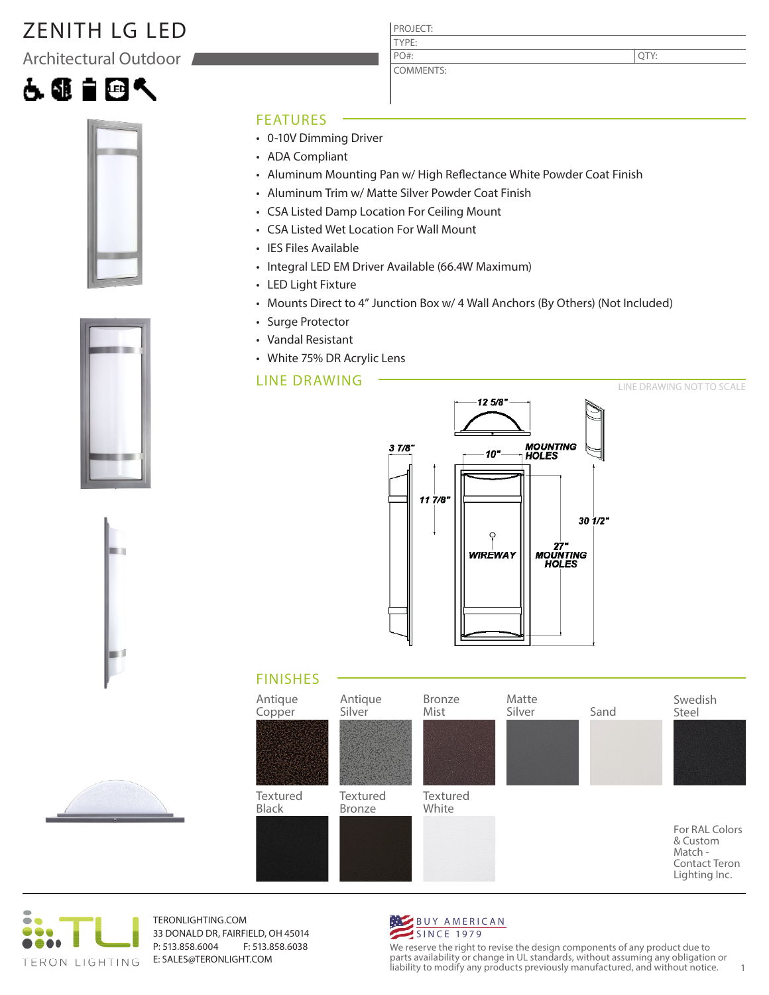# ZENITH LG LED

Architectural Outdoor











#### FEATURES

- 0-10V Dimming Driver
- ADA Compliant
- Aluminum Mounting Pan w/ High Reflectance White Powder Coat Finish
- Aluminum Trim w/ Matte Silver Powder Coat Finish

PROJECT: TYPE:

PO#:

COMMENTS:

- CSA Listed Damp Location For Ceiling Mount
- CSA Listed Wet Location For Wall Mount
- IES Files Available
- Integral LED EM Driver Available (66.4W Maximum)
- LED Light Fixture
- Mounts Direct to 4" Junction Box w/ 4 Wall Anchors (By Others) (Not Included)
- Surge Protector
- Vandal Resistant
- White 75% DR Acrylic Lens

#### LINE DRAWING



### FINISHES





TERONLIGHTING.COM 33 DONALD DR, FAIRFIELD, OH 45014 P: 513.858.6004 F: 513.858.6038 E: SALES@TERONLIGHT.COM



We reserve the right to revise the design components of any product due to parts availability or change in UL standards, without assuming any obligation or liability to modify any products previously manufactured, and without notice. 1

QTY: